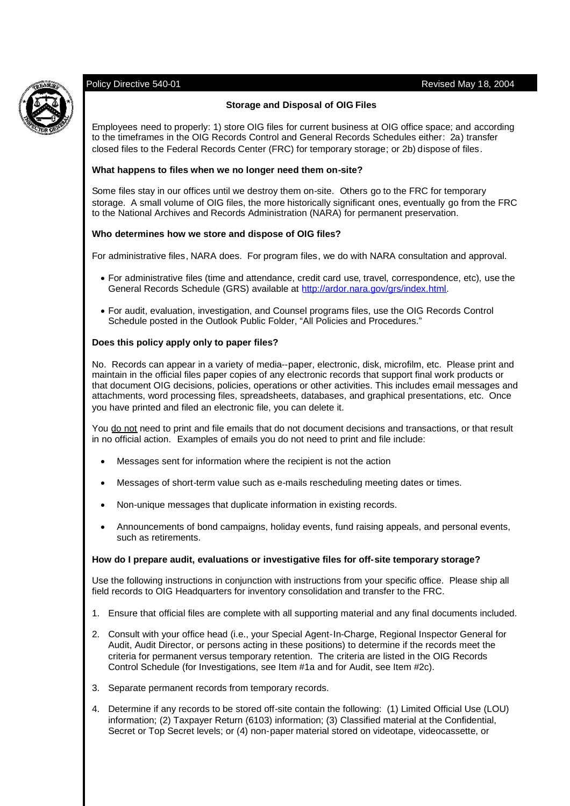# Policy Directive 540-01 Revised May 18, 2004



# **Storage and Disposal of OIG Files**

Employees need to properly: 1) store OIG files for current business at OIG office space; and according to the timeframes in the OIG Records Control and General Records Schedules either: 2a) transfer closed files to the Federal Records Center (FRC) for temporary storage; or 2b) dispose of files.

# **What happens to files when we no longer need them on-site?**

Some files stay in our offices until we destroy them on-site. Others go to the FRC for temporary storage. A small volume of OIG files, the more historically significant ones, eventually go from the FRC to the National Archives and Records Administration (NARA) for permanent preservation.

# **Who determines how we store and dispose of OIG files?**

For administrative files, NARA does. For program files, we do with NARA consultation and approval.

- For administrative files (time and attendance, credit card use, travel, correspondence, etc), use the General Records Schedule (GRS) available at http://ardor.nara.gov/grs/index.html.
- For audit, evaluation, investigation, and Counsel programs files, use the OIG Records Control Schedule posted in the Outlook Public Folder, "All Policies and Procedures."

# **Does this policy apply only to paper files?**

No. Records can appear in a variety of media--paper, electronic, disk, microfilm, etc. Please print and maintain in the official files paper copies of any electronic records that support final work products or that document OIG decisions, policies, operations or other activities. This includes email messages and attachments, word processing files, spreadsheets, databases, and graphical presentations, etc. Once you have printed and filed an electronic file, you can delete it.

You do not need to print and file emails that do not document decisions and transactions, or that result in no official action. Examples of emails you do not need to print and file include:

- Messages sent for information where the recipient is not the action
- Messages of short-term value such as e-mails rescheduling meeting dates or times.
- Non-unique messages that duplicate information in existing records.
- Announcements of bond campaigns, holiday events, fund raising appeals, and personal events, such as retirements.

# **How do I prepare audit, evaluations or investigative files for off-site temporary storage?**

Use the following instructions in conjunction with instructions from your specific office. Please ship all field records to OIG Headquarters for inventory consolidation and transfer to the FRC.

- 1. Ensure that official files are complete with all supporting material and any final documents included.
- 2. Consult with your office head (i.e., your Special Agent-In-Charge, Regional Inspector General for Audit, Audit Director, or persons acting in these positions) to determine if the records meet the criteria for permanent versus temporary retention. The criteria are listed in the OIG Records Control Schedule (for Investigations, see Item #1a and for Audit, see Item #2c).
- 3. Separate permanent records from temporary records.
- 4. Determine if any records to be stored off-site contain the following: (1) Limited Official Use (LOU) information; (2) Taxpayer Return (6103) information; (3) Classified material at the Confidential, Secret or Top Secret levels; or (4) non-paper material stored on videotape, videocassette, or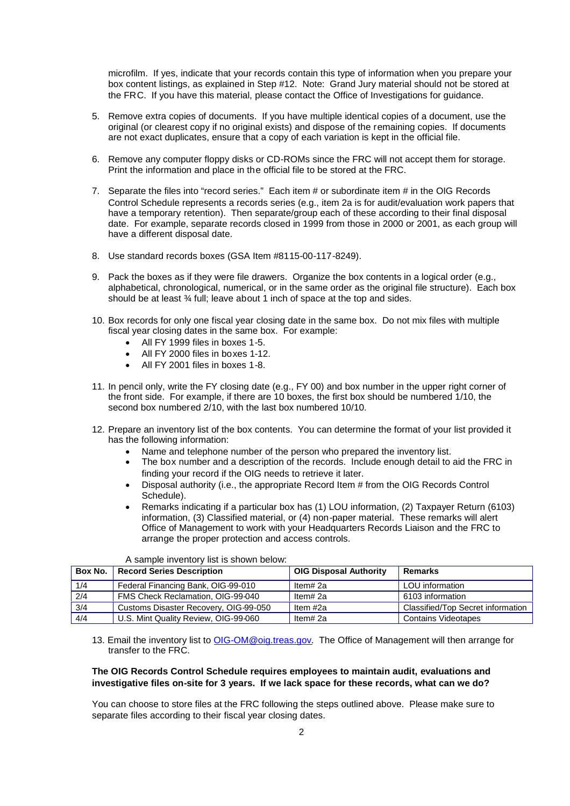microfilm. If yes, indicate that your records contain this type of information when you prepare your box content listings, as explained in Step #12. Note: Grand Jury material should not be stored at the FRC. If you have this material, please contact the Office of Investigations for guidance.

- 5. Remove extra copies of documents. If you have multiple identical copies of a document, use the original (or clearest copy if no original exists) and dispose of the remaining copies. If documents are not exact duplicates, ensure that a copy of each variation is kept in the official file.
- 6. Remove any computer floppy disks or CD-ROMs since the FRC will not accept them for storage. Print the information and place in the official file to be stored at the FRC.
- 7. Separate the files into "record series." Each item # or subordinate item # in the OIG Records Control Schedule represents a records series (e.g., item 2a is for audit/evaluation work papers that have a temporary retention). Then separate/group each of these according to their final disposal date. For example, separate records closed in 1999 from those in 2000 or 2001, as each group will have a different disposal date.
- 8. Use standard records boxes (GSA Item #8115-00-117-8249).
- 9. Pack the boxes as if they were file drawers. Organize the box contents in a logical order (e.g., alphabetical, chronological, numerical, or in the same order as the original file structure). Each box should be at least  $\frac{3}{4}$  full; leave about 1 inch of space at the top and sides.
- 10. Box records for only one fiscal year closing date in the same box. Do not mix files with multiple fiscal year closing dates in the same box. For example:
	- All FY 1999 files in boxes 1-5.
	- All FY 2000 files in boxes 1-12.
	- All FY 2001 files in boxes 1-8.
- 11. In pencil only, write the FY closing date (e.g., FY 00) and box number in the upper right corner of the front side. For example, if there are 10 boxes, the first box should be numbered 1/10, the second box numbered 2/10, with the last box numbered 10/10.
- 12. Prepare an inventory list of the box contents. You can determine the format of your list provided it has the following information:
	- Name and telephone number of the person who prepared the inventory list.
	- The box number and a description of the records. Include enough detail to aid the FRC in finding your record if the OIG needs to retrieve it later.
	- Disposal authority (i.e., the appropriate Record Item # from the OIG Records Control Schedule).
	- Remarks indicating if a particular box has (1) LOU information, (2) Taxpayer Return (6103) information, (3) Classified material, or (4) non-paper material. These remarks will alert Office of Management to work with your Headquarters Records Liaison and the FRC to arrange the proper protection and access controls.

| Box No. | <b>Record Series Description</b>      | <b>OIG Disposal Authority</b> | Remarks                           |
|---------|---------------------------------------|-------------------------------|-----------------------------------|
| 1/4     | Federal Financing Bank, OIG-99-010    | Item# 2a                      | LOU information                   |
| 2/4     | FMS Check Reclamation, OIG-99-040     | Item# 2a                      | 6103 information                  |
| 3/4     | Customs Disaster Recovery, OIG-99-050 | Item #2a                      | Classified/Top Secret information |
| 4/4     | U.S. Mint Quality Review, OIG-99-060  | Item# 2a                      | <b>Contains Videotapes</b>        |

A sample inventory list is shown below:

13. Email the inventory list to OIG-OM@oig.treas.gov. The Office of Management will then arrange for transfer to the FRC.

# **The OIG Records Control Schedule requires employees to maintain audit, evaluations and investigative files on-site for 3 years. If we lack space for these records, what can we do?**

You can choose to store files at the FRC following the steps outlined above. Please make sure to separate files according to their fiscal year closing dates.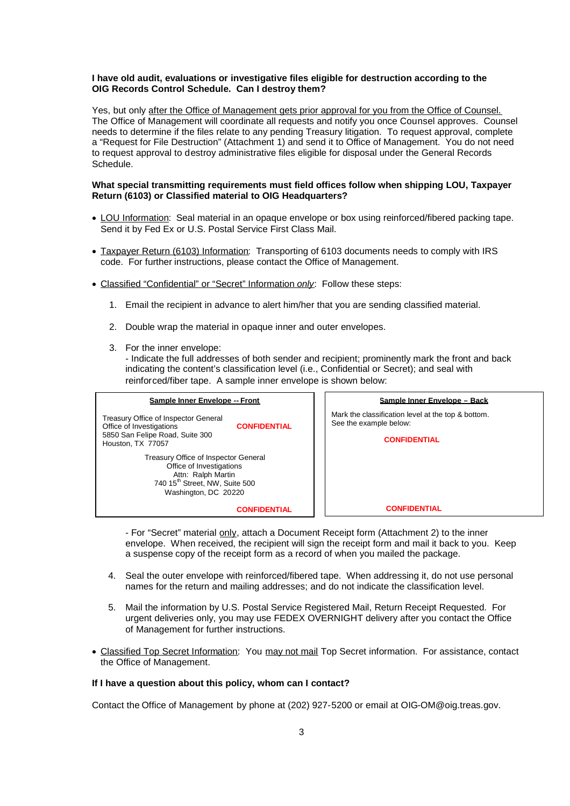## **I have old audit, evaluations or investigative files eligible for destruction according to the OIG Records Control Schedule. Can I destroy them?**

Yes, but only after the Office of Management gets prior approval for you from the Office of Counsel. The Office of Management will coordinate all requests and notify you once Counsel approves. Counsel needs to determine if the files relate to any pending Treasury litigation. To request approval, complete a "Request for File Destruction" (Attachment 1) and send it to Office of Management. You do not need to request approval to destroy administrative files eligible for disposal under the General Records Schedule.

## **What special transmitting requirements must field offices follow when shipping LOU, Taxpayer Return (6103) or Classified material to OIG Headquarters?**

- LOU Information: Seal material in an opaque envelope or box using reinforced/fibered packing tape. Send it by Fed Ex or U.S. Postal Service First Class Mail.
- Taxpayer Return (6103) Information: Transporting of 6103 documents needs to comply with IRS code. For further instructions, please contact the Office of Management.
- Classified "Confidential" or "Secret" Information *only*: Follow these steps:
	- 1. Email the recipient in advance to alert him/her that you are sending classified material.
	- 2. Double wrap the material in opaque inner and outer envelopes.
	- 3. For the inner envelope:

- Indicate the full addresses of both sender and recipient; prominently mark the front and back indicating the content's classification level (i.e., Confidential or Secret); and seal with reinforced/fiber tape. A sample inner envelope is shown below:

| Sample Inner Envelope -- Front                                                                                                                                                                                                                                                                                  | Sample Inner Envelope - Back                                                                        |
|-----------------------------------------------------------------------------------------------------------------------------------------------------------------------------------------------------------------------------------------------------------------------------------------------------------------|-----------------------------------------------------------------------------------------------------|
| Treasury Office of Inspector General<br>Office of Investigations<br><b>CONFIDENTIAL</b><br>5850 San Felipe Road, Suite 300<br>Houston, TX 77057<br>Treasury Office of Inspector General<br>Office of Investigations<br>Attn: Ralph Martin<br>740 15 <sup>th</sup> Street, NW, Suite 500<br>Washington, DC 20220 | Mark the classification level at the top & bottom.<br>See the example below:<br><b>CONFIDENTIAL</b> |
| <b>CONFIDENTIAL</b>                                                                                                                                                                                                                                                                                             | <b>CONFIDENTIAL</b>                                                                                 |

- For "Secret" material only, attach a Document Receipt form (Attachment 2) to the inner envelope. When received, the recipient will sign the receipt form and mail it back to you. Keep a suspense copy of the receipt form as a record of when you mailed the package.

- 4. Seal the outer envelope with reinforced/fibered tape. When addressing it, do not use personal names for the return and mailing addresses; and do not indicate the classification level.
- 5. Mail the information by U.S. Postal Service Registered Mail, Return Receipt Requested. For urgent deliveries only, you may use FEDEX OVERNIGHT delivery after you contact the Office of Management for further instructions.
- Classified Top Secret Information: You may not mail Top Secret information. For assistance, contact the Office of Management.

# **If I have a question about this policy, whom can I contact?**

Contact the Office of Management by phone at (202) 927-5200 or email at OIG-OM@oig.treas.gov.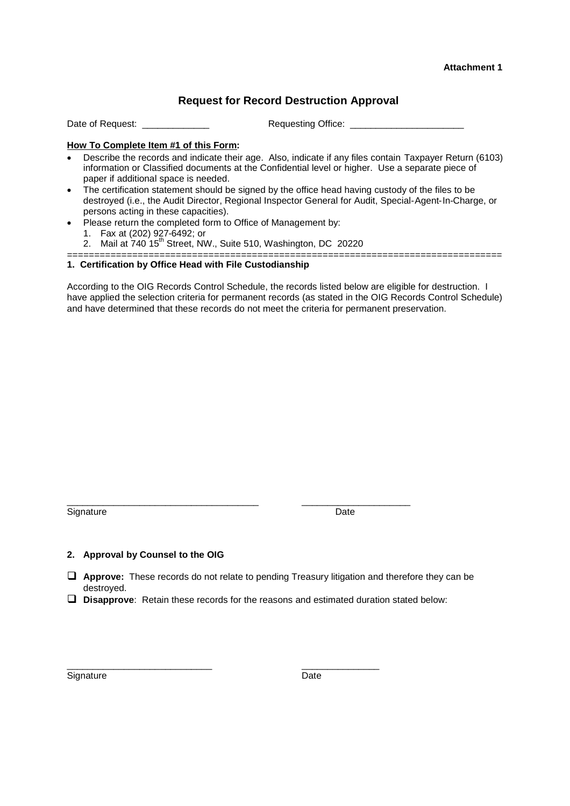# **Attachment 1**

# **Request for Record Destruction Approval**

Date of Request: <br>
Date of Request: <br>
Date of Request:

# **How To Complete Item #1 of this Form:**

- Describe the records and indicate their age. Also, indicate if any files contain Taxpayer Return (6103) information or Classified documents at the Confidential level or higher. Use a separate piece of paper if additional space is needed.
- The certification statement should be signed by the office head having custody of the files to be destroyed (i.e., the Audit Director, Regional Inspector General for Audit, Special-Agent-In-Charge, or persons acting in these capacities).
- Please return the completed form to Office of Management by:
	- 1. Fax at (202) 927-6492; or
	- 2. Mail at  $740.15^{th}$  Street, NW., Suite 510, Washington, DC 20220

### ================================================================================ **1. Certification by Office Head with File Custodianship**

According to the OIG Records Control Schedule, the records listed below are eligible for destruction. I have applied the selection criteria for permanent records (as stated in the OIG Records Control Schedule) and have determined that these records do not meet the criteria for permanent preservation.

Signature Date

\_\_\_\_\_\_\_\_\_\_\_\_\_\_\_\_\_\_\_\_\_\_\_\_\_\_\_\_\_\_\_\_\_\_\_\_\_ \_\_\_\_\_\_\_\_\_\_\_\_\_\_\_\_\_\_\_\_\_

# **2. Approval by Counsel to the OIG**

- **Approve:** These records do not relate to pending Treasury litigation and therefore they can be destroyed.
- **Disapprove**: Retain these records for the reasons and estimated duration stated below:

Signature Date

\_\_\_\_\_\_\_\_\_\_\_\_\_\_\_\_\_\_\_\_\_\_\_\_\_\_\_\_ \_\_\_\_\_\_\_\_\_\_\_\_\_\_\_